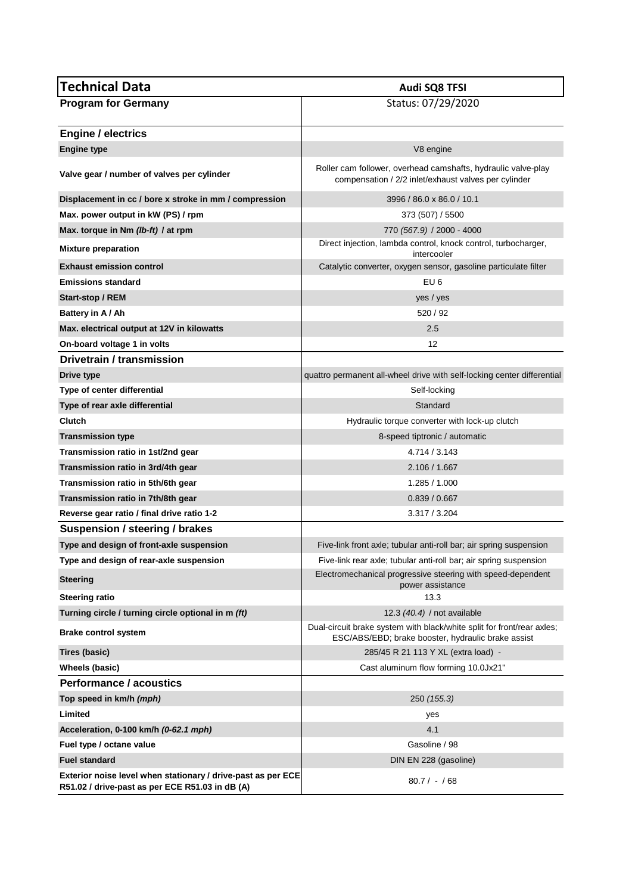| <b>Technical Data</b>                                                                                           | Audi SQ8 TFSI                                                                                                                |
|-----------------------------------------------------------------------------------------------------------------|------------------------------------------------------------------------------------------------------------------------------|
| <b>Program for Germany</b>                                                                                      | Status: 07/29/2020                                                                                                           |
|                                                                                                                 |                                                                                                                              |
| <b>Engine / electrics</b>                                                                                       |                                                                                                                              |
| <b>Engine type</b>                                                                                              | V8 engine                                                                                                                    |
| Valve gear / number of valves per cylinder                                                                      | Roller cam follower, overhead camshafts, hydraulic valve-play<br>compensation / 2/2 inlet/exhaust valves per cylinder        |
| Displacement in cc / bore x stroke in mm / compression                                                          | 3996 / 86.0 x 86.0 / 10.1                                                                                                    |
| Max. power output in kW (PS) / rpm                                                                              | 373 (507) / 5500                                                                                                             |
| Max. torque in Nm (Ib-ft) / at rpm                                                                              | 770 (567.9) / 2000 - 4000                                                                                                    |
| <b>Mixture preparation</b>                                                                                      | Direct injection, lambda control, knock control, turbocharger,<br>intercooler                                                |
| <b>Exhaust emission control</b>                                                                                 | Catalytic converter, oxygen sensor, gasoline particulate filter                                                              |
| <b>Emissions standard</b>                                                                                       | EU <sub>6</sub>                                                                                                              |
| Start-stop / REM                                                                                                | yes / yes                                                                                                                    |
| Battery in A / Ah                                                                                               | 520 / 92                                                                                                                     |
| Max. electrical output at 12V in kilowatts                                                                      | 2.5                                                                                                                          |
| On-board voltage 1 in volts                                                                                     | 12                                                                                                                           |
| Drivetrain / transmission                                                                                       |                                                                                                                              |
| Drive type                                                                                                      | quattro permanent all-wheel drive with self-locking center differential                                                      |
| Type of center differential                                                                                     | Self-locking                                                                                                                 |
| Type of rear axle differential                                                                                  | Standard                                                                                                                     |
| <b>Clutch</b>                                                                                                   | Hydraulic torque converter with lock-up clutch                                                                               |
| <b>Transmission type</b>                                                                                        | 8-speed tiptronic / automatic                                                                                                |
| Transmission ratio in 1st/2nd gear                                                                              | 4.714 / 3.143                                                                                                                |
| Transmission ratio in 3rd/4th gear                                                                              | 2.106 / 1.667                                                                                                                |
| Transmission ratio in 5th/6th gear                                                                              | 1.285 / 1.000                                                                                                                |
| Transmission ratio in 7th/8th gear                                                                              | 0.839 / 0.667                                                                                                                |
| Reverse gear ratio / final drive ratio 1-2                                                                      | 3.317 / 3.204                                                                                                                |
| Suspension / steering / brakes                                                                                  |                                                                                                                              |
| Type and design of front-axle suspension                                                                        | Five-link front axle; tubular anti-roll bar; air spring suspension                                                           |
| Type and design of rear-axle suspension                                                                         | Five-link rear axle; tubular anti-roll bar; air spring suspension                                                            |
| <b>Steering</b>                                                                                                 | Electromechanical progressive steering with speed-dependent<br>power assistance                                              |
| <b>Steering ratio</b>                                                                                           | 13.3                                                                                                                         |
| Turning circle / turning circle optional in m (ft)                                                              | 12.3 (40.4) / not available                                                                                                  |
| <b>Brake control system</b>                                                                                     | Dual-circuit brake system with black/white split for front/rear axles;<br>ESC/ABS/EBD; brake booster, hydraulic brake assist |
| Tires (basic)                                                                                                   | 285/45 R 21 113 Y XL (extra load) -                                                                                          |
| Wheels (basic)                                                                                                  | Cast aluminum flow forming 10.0Jx21"                                                                                         |
| Performance / acoustics                                                                                         |                                                                                                                              |
| Top speed in km/h (mph)                                                                                         | 250 (155.3)                                                                                                                  |
| Limited                                                                                                         | yes                                                                                                                          |
| Acceleration, 0-100 km/h (0-62.1 mph)                                                                           | 4.1                                                                                                                          |
| Fuel type / octane value                                                                                        | Gasoline / 98                                                                                                                |
| <b>Fuel standard</b>                                                                                            | DIN EN 228 (gasoline)                                                                                                        |
| Exterior noise level when stationary / drive-past as per ECE<br>R51.02 / drive-past as per ECE R51.03 in dB (A) | $80.7 / - / 68$                                                                                                              |